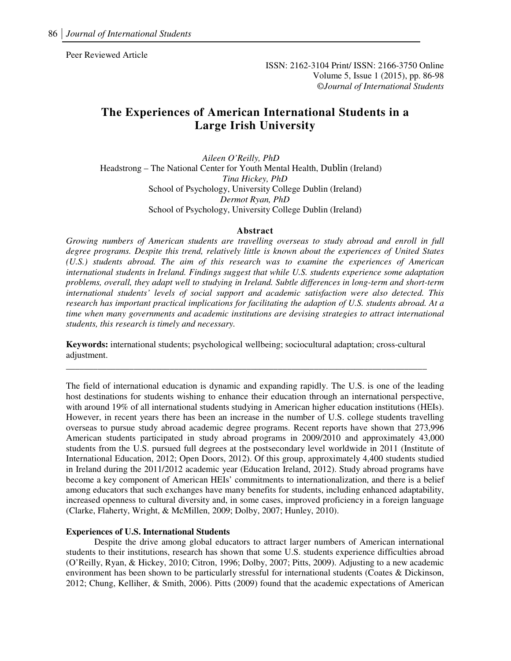Peer Reviewed Article

ISSN: 2162-3104 Print/ ISSN: 2166-3750 Online Volume 5, Issue 1 (2015), pp. 86-98 ©*Journal of International Students*

# **The Experiences of American International Students in a Large Irish University**

*Aileen O'Reilly, PhD*  Headstrong – The National Center for Youth Mental Health, Dublin (Ireland) *Tina Hickey, PhD*  School of Psychology, University College Dublin (Ireland) *Dermot Ryan, PhD*  School of Psychology, University College Dublin (Ireland)

#### **Abstract**

*Growing numbers of American students are travelling overseas to study abroad and enroll in full degree programs. Despite this trend, relatively little is known about the experiences of United States (U.S.) students abroad. The aim of this research was to examine the experiences of American international students in Ireland. Findings suggest that while U.S. students experience some adaptation problems, overall, they adapt well to studying in Ireland. Subtle differences in long-term and short-term international students' levels of social support and academic satisfaction were also detected. This research has important practical implications for facilitating the adaption of U.S. students abroad. At a time when many governments and academic institutions are devising strategies to attract international students, this research is timely and necessary.*

**Keywords:** international students; psychological wellbeing; sociocultural adaptation; cross-cultural adjustment. **\_\_\_\_\_\_\_\_\_\_\_\_\_\_\_\_\_\_\_\_\_\_\_\_\_\_\_\_\_\_\_\_\_\_\_\_\_\_\_\_\_\_\_\_\_\_\_\_\_\_\_\_\_\_\_\_\_\_\_\_\_\_\_\_\_\_\_\_\_\_\_\_\_\_\_\_\_\_\_\_** 

The field of international education is dynamic and expanding rapidly. The U.S. is one of the leading host destinations for students wishing to enhance their education through an international perspective, with around 19% of all international students studying in American higher education institutions (HEIs). However, in recent years there has been an increase in the number of U.S. college students travelling overseas to pursue study abroad academic degree programs. Recent reports have shown that 273,996 American students participated in study abroad programs in 2009/2010 and approximately 43,000 students from the U.S. pursued full degrees at the postsecondary level worldwide in 2011 (Institute of International Education, 2012; Open Doors, 2012). Of this group, approximately 4,400 students studied in Ireland during the 2011/2012 academic year (Education Ireland, 2012). Study abroad programs have become a key component of American HEIs' commitments to internationalization, and there is a belief among educators that such exchanges have many benefits for students, including enhanced adaptability, increased openness to cultural diversity and, in some cases, improved proficiency in a foreign language (Clarke, Flaherty, Wright, & McMillen, 2009; Dolby, 2007; Hunley, 2010).

#### **Experiences of U.S. International Students**

Despite the drive among global educators to attract larger numbers of American international students to their institutions, research has shown that some U.S. students experience difficulties abroad (O'Reilly, Ryan, & Hickey, 2010; Citron, 1996; Dolby, 2007; Pitts, 2009). Adjusting to a new academic environment has been shown to be particularly stressful for international students (Coates & Dickinson, 2012; Chung, Kelliher, & Smith, 2006). Pitts (2009) found that the academic expectations of American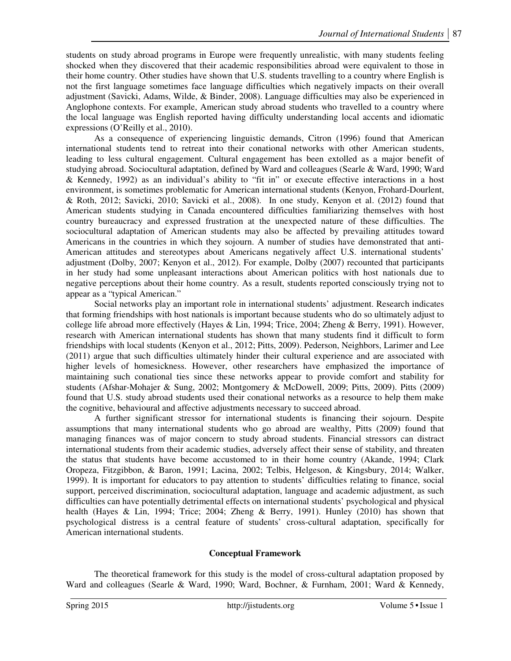students on study abroad programs in Europe were frequently unrealistic, with many students feeling shocked when they discovered that their academic responsibilities abroad were equivalent to those in their home country. Other studies have shown that U.S. students travelling to a country where English is not the first language sometimes face language difficulties which negatively impacts on their overall adjustment (Savicki, Adams, Wilde, & Binder, 2008). Language difficulties may also be experienced in Anglophone contexts. For example, American study abroad students who travelled to a country where the local language was English reported having difficulty understanding local accents and idiomatic expressions (O'Reilly et al., 2010).

As a consequence of experiencing linguistic demands, Citron (1996) found that American international students tend to retreat into their conational networks with other American students, leading to less cultural engagement. Cultural engagement has been extolled as a major benefit of studying abroad. Sociocultural adaptation, defined by Ward and colleagues (Searle & Ward, 1990; Ward & Kennedy, 1992) as an individual's ability to "fit in" or execute effective interactions in a host environment, is sometimes problematic for American international students (Kenyon, Frohard-Dourlent, & Roth, 2012; Savicki, 2010; Savicki et al., 2008). In one study, Kenyon et al. (2012) found that American students studying in Canada encountered difficulties familiarizing themselves with host country bureaucracy and expressed frustration at the unexpected nature of these difficulties. The sociocultural adaptation of American students may also be affected by prevailing attitudes toward Americans in the countries in which they sojourn. A number of studies have demonstrated that anti-American attitudes and stereotypes about Americans negatively affect U.S. international students' adjustment (Dolby, 2007; Kenyon et al., 2012). For example, Dolby (2007) recounted that participants in her study had some unpleasant interactions about American politics with host nationals due to negative perceptions about their home country. As a result, students reported consciously trying not to appear as a "typical American."

Social networks play an important role in international students' adjustment. Research indicates that forming friendships with host nationals is important because students who do so ultimately adjust to college life abroad more effectively (Hayes & Lin, 1994; Trice, 2004; Zheng & Berry, 1991). However, research with American international students has shown that many students find it difficult to form friendships with local students (Kenyon et al., 2012; Pitts, 2009). Pederson, Neighbors, Larimer and Lee (2011) argue that such difficulties ultimately hinder their cultural experience and are associated with higher levels of homesickness. However, other researchers have emphasized the importance of maintaining such conational ties since these networks appear to provide comfort and stability for students (Afshar-Mohajer & Sung, 2002; Montgomery & McDowell, 2009; Pitts, 2009). Pitts (2009) found that U.S. study abroad students used their conational networks as a resource to help them make the cognitive, behavioural and affective adjustments necessary to succeed abroad.

A further significant stressor for international students is financing their sojourn. Despite assumptions that many international students who go abroad are wealthy, Pitts (2009) found that managing finances was of major concern to study abroad students. Financial stressors can distract international students from their academic studies, adversely affect their sense of stability, and threaten the status that students have become accustomed to in their home country (Akande, 1994; Clark Oropeza, Fitzgibbon, & Baron, 1991; Lacina, 2002; Telbis, Helgeson, & Kingsbury, 2014; Walker, 1999). It is important for educators to pay attention to students' difficulties relating to finance, social support, perceived discrimination, sociocultural adaptation, language and academic adjustment, as such difficulties can have potentially detrimental effects on international students' psychological and physical health (Hayes & Lin, 1994; Trice; 2004; Zheng & Berry, 1991). Hunley (2010) has shown that psychological distress is a central feature of students' cross-cultural adaptation, specifically for American international students.

### **Conceptual Framework**

The theoretical framework for this study is the model of cross-cultural adaptation proposed by Ward and colleagues (Searle & Ward, 1990; Ward, Bochner, & Furnham, 2001; Ward & Kennedy,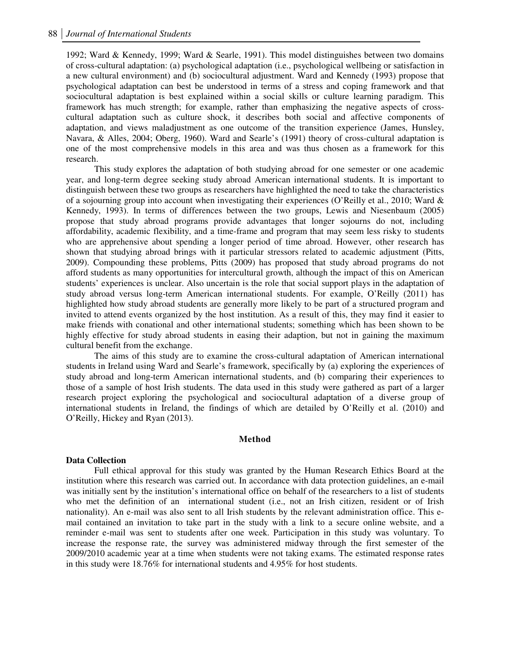1992; Ward & Kennedy, 1999; Ward & Searle, 1991). This model distinguishes between two domains of cross-cultural adaptation: (a) psychological adaptation (i.e., psychological wellbeing or satisfaction in a new cultural environment) and (b) sociocultural adjustment. Ward and Kennedy (1993) propose that psychological adaptation can best be understood in terms of a stress and coping framework and that sociocultural adaptation is best explained within a social skills or culture learning paradigm. This framework has much strength; for example, rather than emphasizing the negative aspects of crosscultural adaptation such as culture shock, it describes both social and affective components of adaptation, and views maladjustment as one outcome of the transition experience (James, Hunsley, Navara, & Alles, 2004; Oberg, 1960). Ward and Searle's (1991) theory of cross-cultural adaptation is one of the most comprehensive models in this area and was thus chosen as a framework for this research.

 This study explores the adaptation of both studying abroad for one semester or one academic year, and long-term degree seeking study abroad American international students. It is important to distinguish between these two groups as researchers have highlighted the need to take the characteristics of a sojourning group into account when investigating their experiences (O'Reilly et al., 2010; Ward  $\&$ Kennedy, 1993). In terms of differences between the two groups, Lewis and Niesenbaum (2005) propose that study abroad programs provide advantages that longer sojourns do not, including affordability, academic flexibility, and a time-frame and program that may seem less risky to students who are apprehensive about spending a longer period of time abroad. However, other research has shown that studying abroad brings with it particular stressors related to academic adjustment (Pitts, 2009). Compounding these problems, Pitts (2009) has proposed that study abroad programs do not afford students as many opportunities for intercultural growth, although the impact of this on American students' experiences is unclear. Also uncertain is the role that social support plays in the adaptation of study abroad versus long-term American international students. For example, O'Reilly (2011) has highlighted how study abroad students are generally more likely to be part of a structured program and invited to attend events organized by the host institution. As a result of this, they may find it easier to make friends with conational and other international students; something which has been shown to be highly effective for study abroad students in easing their adaption, but not in gaining the maximum cultural benefit from the exchange.

The aims of this study are to examine the cross-cultural adaptation of American international students in Ireland using Ward and Searle's framework, specifically by (a) exploring the experiences of study abroad and long-term American international students, and (b) comparing their experiences to those of a sample of host Irish students. The data used in this study were gathered as part of a larger research project exploring the psychological and sociocultural adaptation of a diverse group of international students in Ireland, the findings of which are detailed by O'Reilly et al. (2010) and O'Reilly, Hickey and Ryan (2013).

#### **Method**

#### **Data Collection**

Full ethical approval for this study was granted by the Human Research Ethics Board at the institution where this research was carried out. In accordance with data protection guidelines, an e-mail was initially sent by the institution's international office on behalf of the researchers to a list of students who met the definition of an international student (i.e., not an Irish citizen, resident or of Irish nationality). An e-mail was also sent to all Irish students by the relevant administration office. This email contained an invitation to take part in the study with a link to a secure online website, and a reminder e-mail was sent to students after one week. Participation in this study was voluntary. To increase the response rate, the survey was administered midway through the first semester of the 2009/2010 academic year at a time when students were not taking exams. The estimated response rates in this study were 18.76% for international students and 4.95% for host students.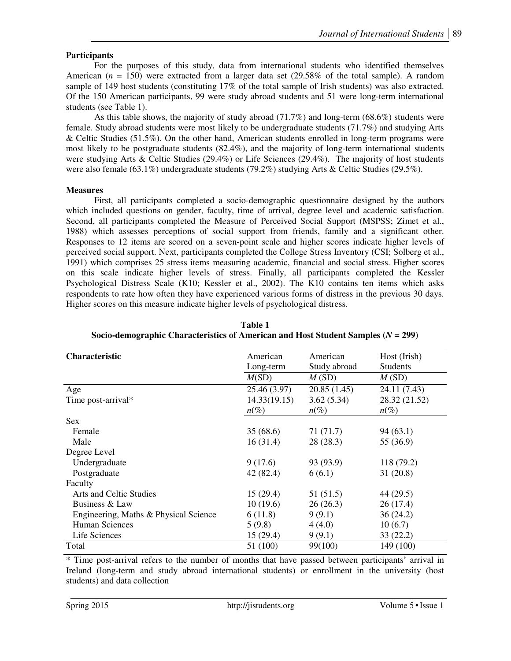## **Participants**

For the purposes of this study, data from international students who identified themselves American ( $n = 150$ ) were extracted from a larger data set (29.58% of the total sample). A random sample of 149 host students (constituting 17% of the total sample of Irish students) was also extracted. Of the 150 American participants, 99 were study abroad students and 51 were long-term international students (see Table 1).

As this table shows, the majority of study abroad (71.7%) and long-term (68.6%) students were female. Study abroad students were most likely to be undergraduate students (71.7%) and studying Arts & Celtic Studies (51.5%). On the other hand, American students enrolled in long-term programs were most likely to be postgraduate students (82.4%), and the majority of long-term international students were studying Arts & Celtic Studies (29.4%) or Life Sciences (29.4%). The majority of host students were also female (63.1%) undergraduate students (79.2%) studying Arts & Celtic Studies (29.5%).

### **Measures**

First, all participants completed a socio-demographic questionnaire designed by the authors which included questions on gender, faculty, time of arrival, degree level and academic satisfaction. Second, all participants completed the Measure of Perceived Social Support (MSPSS; Zimet et al., 1988) which assesses perceptions of social support from friends, family and a significant other. Responses to 12 items are scored on a seven-point scale and higher scores indicate higher levels of perceived social support. Next, participants completed the College Stress Inventory (CSI; Solberg et al., 1991) which comprises 25 stress items measuring academic, financial and social stress. Higher scores on this scale indicate higher levels of stress. Finally, all participants completed the Kessler Psychological Distress Scale (K10; Kessler et al., 2002). The K10 contains ten items which asks respondents to rate how often they have experienced various forms of distress in the previous 30 days. Higher scores on this measure indicate higher levels of psychological distress.

| <b>Characteristic</b>                 | American     | American     | Host (Irish)    |  |
|---------------------------------------|--------------|--------------|-----------------|--|
|                                       | Long-term    | Study abroad | <b>Students</b> |  |
|                                       | M(SD)        | M(SD)        | M(SD)           |  |
| Age                                   | 25.46 (3.97) | 20.85(1.45)  | 24.11 (7.43)    |  |
| Time post-arrival*                    | 14.33(19.15) | 3.62(5.34)   | 28.32 (21.52)   |  |
|                                       | $n(\%)$      | $n(\%)$      | $n(\%)$         |  |
| Sex                                   |              |              |                 |  |
| Female                                | 35(68.6)     | 71(71.7)     | 94(63.1)        |  |
| Male                                  | 16(31.4)     | 28(28.3)     | 55 (36.9)       |  |
| Degree Level                          |              |              |                 |  |
| Undergraduate                         | 9(17.6)      | 93 (93.9)    | 118 (79.2)      |  |
| Postgraduate                          | 42 (82.4)    | 6(6.1)       | 31(20.8)        |  |
| Faculty                               |              |              |                 |  |
| Arts and Celtic Studies               | 15(29.4)     | 51(51.5)     | 44 (29.5)       |  |
| Business & Law                        | 10(19.6)     | 26(26.3)     | 26(17.4)        |  |
| Engineering, Maths & Physical Science | 6(11.8)      | 9(9.1)       | 36(24.2)        |  |
| Human Sciences                        | 5(9.8)       | 4(4.0)       | 10(6.7)         |  |
| Life Sciences                         | 15(29.4)     | 9(9.1)       | 33(22.2)        |  |
| Total                                 | 51 (100)     | 99(100)      | 149 (100)       |  |

**Table 1 Socio-demographic Characteristics of American and Host Student Samples (***N* **= 299)** 

\* Time post-arrival refers to the number of months that have passed between participants' arrival in Ireland (long-term and study abroad international students) or enrollment in the university (host students) and data collection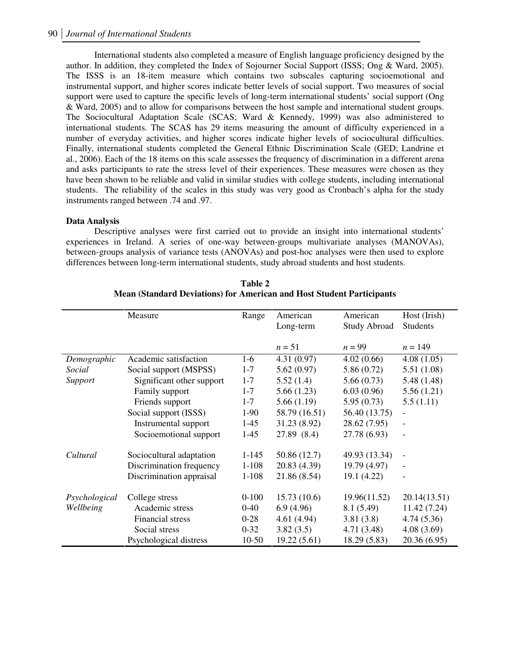International students also completed a measure of English language proficiency designed by the author. In addition, they completed the Index of Sojourner Social Support (ISSS; Ong & Ward, 2005). The ISSS is an 18-item measure which contains two subscales capturing socioemotional and instrumental support, and higher scores indicate better levels of social support. Two measures of social support were used to capture the specific levels of long-term international students' social support (Ong & Ward, 2005) and to allow for comparisons between the host sample and international student groups. The Sociocultural Adaptation Scale (SCAS; Ward & Kennedy, 1999) was also administered to international students. The SCAS has 29 items measuring the amount of difficulty experienced in a number of everyday activities, and higher scores indicate higher levels of sociocultural difficulties. Finally, international students completed the General Ethnic Discrimination Scale (GED; Landrine et al., 2006). Each of the 18 items on this scale assesses the frequency of discrimination in a different arena and asks participants to rate the stress level of their experiences. These measures were chosen as they have been shown to be reliable and valid in similar studies with college students, including international students. The reliability of the scales in this study was very good as Cronbach's alpha for the study instruments ranged between .74 and .97.

### **Data Analysis**

Descriptive analyses were first carried out to provide an insight into international students' experiences in Ireland. A series of one-way between-groups multivariate analyses (MANOVAs), between-groups analysis of variance tests (ANOVAs) and post-hoc analyses were then used to explore differences between long-term international students, study abroad students and host students.

|               | Measure                   | Range     | American      | American            | Host (Irish)             |
|---------------|---------------------------|-----------|---------------|---------------------|--------------------------|
|               |                           |           | Long-term     | <b>Study Abroad</b> | <b>Students</b>          |
|               |                           |           | $n = 51$      | $n = 99$            | $n = 149$                |
| Demographic   | Academic satisfaction     | $1-6$     | 4.31(0.97)    | 4.02(0.66)          | 4.08(1.05)               |
| Social        | Social support (MSPSS)    | $1 - 7$   | 5.62(0.97)    | 5.86(0.72)          | 5.51(1.08)               |
| Support       | Significant other support | $1 - 7$   | 5.52(1.4)     | 5.66(0.73)          | 5.48(1.48)               |
|               | Family support            | $1 - 7$   | 5.66(1.23)    | 6.03(0.96)          | 5.56(1.21)               |
|               | Friends support           | $1 - 7$   | 5.66(1.19)    | 5.95(0.73)          | 5.5(1.11)                |
|               | Social support (ISSS)     | $1-90$    | 58.79 (16.51) | 56.40 (13.75)       |                          |
|               | Instrumental support      | $1-45$    | 31.23 (8.92)  | 28.62 (7.95)        | $\overline{\phantom{0}}$ |
|               | Socioemotional support    | $1-45$    | 27.89 (8.4)   | 27.78 (6.93)        |                          |
| Cultural      | Sociocultural adaptation  | $1 - 145$ | 50.86 (12.7)  | 49.93 (13.34)       | $\qquad \qquad -$        |
|               | Discrimination frequency  | $1 - 108$ | 20.83 (4.39)  | 19.79 (4.97)        |                          |
|               | Discrimination appraisal  | $1 - 108$ | 21.86 (8.54)  | 19.1 (4.22)         |                          |
| Psychological | College stress            | $0 - 100$ | 15.73(10.6)   | 19.96(11.52)        | 20.14(13.51)             |
| Wellbeing     | Academic stress           | $0 - 40$  | 6.9(4.96)     | 8.1(5.49)           | 11.42 (7.24)             |
|               | Financial stress          | $0 - 28$  | 4.61(4.94)    | 3.81(3.8)           | 4.74(5.36)               |
|               | Social stress             | $0 - 32$  | 3.82(3.5)     | 4.71(3.48)          | 4.08(3.69)               |
|               | Psychological distress    | 10-50     | 19.22(5.61)   | 18.29 (5.83)        | 20.36 (6.95)             |

**Table 2 Mean (Standard Deviations) for American and Host Student Participants**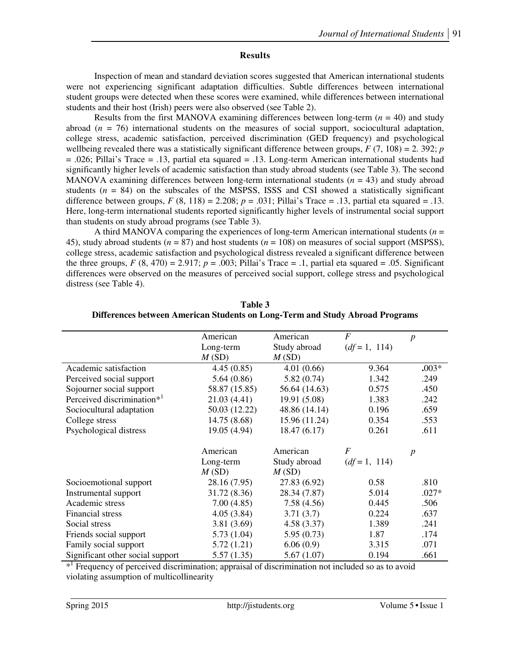## **Results**

Inspection of mean and standard deviation scores suggested that American international students were not experiencing significant adaptation difficulties. Subtle differences between international student groups were detected when these scores were examined, while differences between international students and their host (Irish) peers were also observed (see Table 2).

Results from the first MANOVA examining differences between long-term  $(n = 40)$  and study abroad (*n* = 76) international students on the measures of social support, sociocultural adaptation, college stress, academic satisfaction, perceived discrimination (GED frequency) and psychological wellbeing revealed there was a statistically significant difference between groups,  $F(7, 108) = 2.392$ ; *p* = .026; Pillai's Trace = .13, partial eta squared = .13. Long-term American international students had significantly higher levels of academic satisfaction than study abroad students (see Table 3). The second MANOVA examining differences between long-term international students  $(n = 43)$  and study abroad students  $(n = 84)$  on the subscales of the MSPSS, ISSS and CSI showed a statistically significant difference between groups,  $F(8, 118) = 2.208$ ;  $p = .031$ ; Pillai's Trace = .13, partial eta squared = .13. Here, long-term international students reported significantly higher levels of instrumental social support than students on study abroad programs (see Table 3).

A third MANOVA comparing the experiences of long-term American international students (*n* = 45), study abroad students (*n* = 87) and host students (*n* = 108) on measures of social support (MSPSS), college stress, academic satisfaction and psychological distress revealed a significant difference between the three groups,  $F(8, 470) = 2.917$ ;  $p = .003$ ; Pillai's Trace = .1, partial eta squared = .05. Significant differences were observed on the measures of perceived social support, college stress and psychological distress (see Table 4).

|                                        | American      | American      | F                | $\boldsymbol{p}$ |
|----------------------------------------|---------------|---------------|------------------|------------------|
|                                        | Long-term     | Study abroad  | $(df=1, 114)$    |                  |
|                                        | M(SD)         | M(SD)         |                  |                  |
| Academic satisfaction                  | 4.45(0.85)    | 4.01(0.66)    | 9.364            | $.003*$          |
| Perceived social support               | 5.64(0.86)    | 5.82(0.74)    | 1.342            | .249             |
| Sojourner social support               | 58.87 (15.85) | 56.64 (14.63) | 0.575            | .450             |
| Perceived discrimination* <sup>1</sup> | 21.03(4.41)   | 19.91 (5.08)  | 1.383            | .242             |
| Sociocultural adaptation               | 50.03 (12.22) | 48.86 (14.14) | 0.196            | .659             |
| College stress                         | 14.75 (8.68)  | 15.96 (11.24) | 0.354            | .553             |
| Psychological distress                 | 19.05 (4.94)  | 18.47(6.17)   | 0.261            | .611             |
|                                        | American      | American      | $\boldsymbol{F}$ | $\boldsymbol{p}$ |
|                                        | Long-term     | Study abroad  | $(df=1, 114)$    |                  |
|                                        | M(SD)         | M(SD)         |                  |                  |
| Socioemotional support                 | 28.16 (7.95)  | 27.83 (6.92)  | 0.58             | .810             |
| Instrumental support                   | 31.72 (8.36)  | 28.34 (7.87)  | 5.014            | $.027*$          |
| Academic stress                        | 7.00(4.85)    | 7.58(4.56)    | 0.445            | .506             |
| Financial stress                       | 4.05(3.84)    | 3.71(3.7)     | 0.224            | .637             |
| Social stress                          | 3.81(3.69)    | 4.58(3.37)    | 1.389            | .241             |
| Friends social support                 | 5.73(1.04)    | 5.95(0.73)    | 1.87             | .174             |
| Family social support                  | 5.72(1.21)    | 6.06(0.9)     | 3.315            | .071             |
| Significant other social support       | 5.57(1.35)    | 5.67(1.07)    | 0.194            | .661             |

**Table 3 Differences between American Students on Long-Term and Study Abroad Programs** 

\*<sup>1</sup> Frequency of perceived discrimination; appraisal of discrimination not included so as to avoid violating assumption of multicollinearity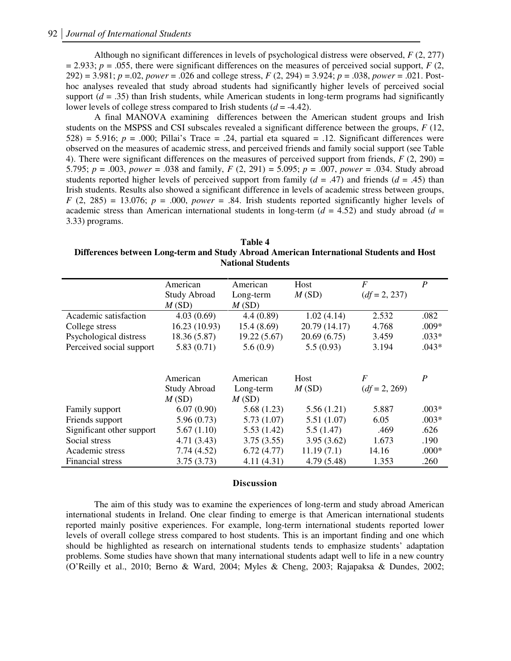Although no significant differences in levels of psychological distress were observed, *F* (2, 277)  $p = 2.933$ ;  $p = .055$ , there were significant differences on the measures of perceived social support, *F* (2, 292) = 3.981; *p* =.02, *power* = .026 and college stress, *F* (2, 294) = 3.924; *p* = .038, *power* = .021. Posthoc analyses revealed that study abroad students had significantly higher levels of perceived social support  $(d = .35)$  than Irish students, while American students in long-term programs had significantly lower levels of college stress compared to Irish students (*d* = -4.42).

A final MANOVA examining differences between the American student groups and Irish students on the MSPSS and CSI subscales revealed a significant difference between the groups, *F* (12,  $528$ ) = 5.916;  $p = .000$ ; Pillai's Trace = .24, partial eta squared = .12. Significant differences were observed on the measures of academic stress, and perceived friends and family social support (see Table 4). There were significant differences on the measures of perceived support from friends,  $F(2, 290) =$ 5.795; *p* = .003, *power* = .038 and family, *F* (2, 291) = 5.095; *p* = .007, *power* = .034. Study abroad students reported higher levels of perceived support from family  $(d = .47)$  and friends  $(d = .45)$  than Irish students. Results also showed a significant difference in levels of academic stress between groups,  $F(2, 285) = 13.076$ ;  $p = .000$ , *power* = .84. Irish students reported significantly higher levels of academic stress than American international students in long-term  $(d = 4.52)$  and study abroad  $(d = 2.52)$ 3.33) programs.

#### **Table 4 Differences between Long-term and Study Abroad American International Students and Host National Students**

|                           | American            | American    | Host          | $\boldsymbol{F}$ | $\boldsymbol{P}$ |
|---------------------------|---------------------|-------------|---------------|------------------|------------------|
|                           | <b>Study Abroad</b> | Long-term   | M(SD)         | $(df = 2, 237)$  |                  |
|                           | M(SD)               | M(SD)       |               |                  |                  |
| Academic satisfaction     | 4.03(0.69)          | 4.4(0.89)   | 1.02(4.14)    | 2.532            | .082             |
| College stress            | 16.23 (10.93)       | 15.4(8.69)  | 20.79 (14.17) | 4.768            | $.009*$          |
| Psychological distress    | 18.36 (5.87)        | 19.22(5.67) | 20.69(6.75)   | 3.459            | $.033*$          |
| Perceived social support  | 5.83(0.71)          | 5.6(0.9)    | 5.5(0.93)     | 3.194            | $.043*$          |
|                           |                     |             |               |                  |                  |
|                           | American            | American    | Host          | F                | $\boldsymbol{P}$ |
|                           | <b>Study Abroad</b> | Long-term   | M(SD)         | $(df = 2, 269)$  |                  |
|                           | M(SD)               | M(SD)       |               |                  |                  |
| Family support            | 6.07(0.90)          | 5.68(1.23)  | 5.56(1.21)    | 5.887            | $.003*$          |
| Friends support           | 5.96(0.73)          | 5.73(1.07)  | 5.51(1.07)    | 6.05             | $.003*$          |
| Significant other support | 5.67(1.10)          | 5.53(1.42)  | 5.5(1.47)     | .469             | .626             |
| Social stress             | 4.71(3.43)          | 3.75(3.55)  | 3.95(3.62)    | 1.673            | .190             |
| Academic stress           | 7.74(4.52)          | 6.72(4.77)  | 11.19(7.1)    | 14.16            | $.000*$          |
| Financial stress          | 3.75(3.73)          | 4.11(4.31)  | 4.79 (5.48)   | 1.353            | .260             |

#### **Discussion**

The aim of this study was to examine the experiences of long-term and study abroad American international students in Ireland. One clear finding to emerge is that American international students reported mainly positive experiences. For example, long-term international students reported lower levels of overall college stress compared to host students. This is an important finding and one which should be highlighted as research on international students tends to emphasize students' adaptation problems. Some studies have shown that many international students adapt well to life in a new country (O'Reilly et al., 2010; Berno & Ward, 2004; Myles & Cheng, 2003; Rajapaksa & Dundes, 2002;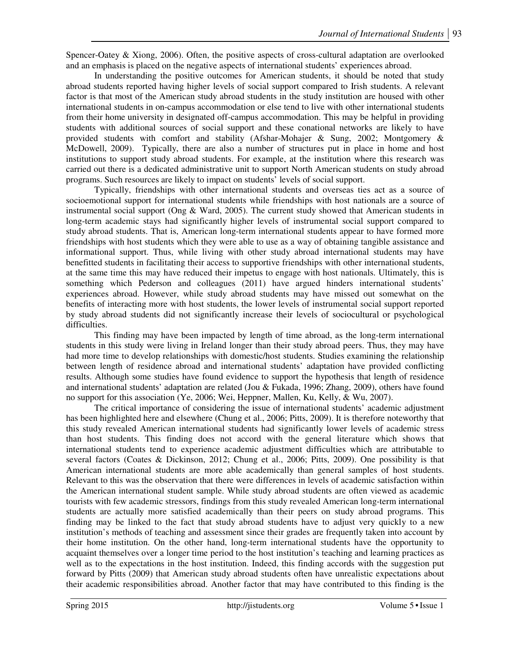Spencer-Oatey & Xiong, 2006). Often, the positive aspects of cross-cultural adaptation are overlooked and an emphasis is placed on the negative aspects of international students' experiences abroad.

In understanding the positive outcomes for American students, it should be noted that study abroad students reported having higher levels of social support compared to Irish students. A relevant factor is that most of the American study abroad students in the study institution are housed with other international students in on-campus accommodation or else tend to live with other international students from their home university in designated off-campus accommodation. This may be helpful in providing students with additional sources of social support and these conational networks are likely to have provided students with comfort and stability (Afshar-Mohajer & Sung, 2002; Montgomery & McDowell, 2009). Typically, there are also a number of structures put in place in home and host institutions to support study abroad students. For example, at the institution where this research was carried out there is a dedicated administrative unit to support North American students on study abroad programs. Such resources are likely to impact on students' levels of social support.

Typically, friendships with other international students and overseas ties act as a source of socioemotional support for international students while friendships with host nationals are a source of instrumental social support (Ong & Ward, 2005). The current study showed that American students in long-term academic stays had significantly higher levels of instrumental social support compared to study abroad students. That is, American long-term international students appear to have formed more friendships with host students which they were able to use as a way of obtaining tangible assistance and informational support. Thus, while living with other study abroad international students may have benefitted students in facilitating their access to supportive friendships with other international students, at the same time this may have reduced their impetus to engage with host nationals. Ultimately, this is something which Pederson and colleagues (2011) have argued hinders international students' experiences abroad. However, while study abroad students may have missed out somewhat on the benefits of interacting more with host students, the lower levels of instrumental social support reported by study abroad students did not significantly increase their levels of sociocultural or psychological difficulties.

This finding may have been impacted by length of time abroad, as the long-term international students in this study were living in Ireland longer than their study abroad peers. Thus, they may have had more time to develop relationships with domestic/host students. Studies examining the relationship between length of residence abroad and international students' adaptation have provided conflicting results. Although some studies have found evidence to support the hypothesis that length of residence and international students' adaptation are related (Jou & Fukada, 1996; Zhang, 2009), others have found no support for this association (Ye, 2006; Wei, Heppner, Mallen, Ku, Kelly, & Wu, 2007).

The critical importance of considering the issue of international students' academic adjustment has been highlighted here and elsewhere (Chung et al., 2006; Pitts, 2009). It is therefore noteworthy that this study revealed American international students had significantly lower levels of academic stress than host students. This finding does not accord with the general literature which shows that international students tend to experience academic adjustment difficulties which are attributable to several factors (Coates & Dickinson, 2012; Chung et al., 2006; Pitts, 2009). One possibility is that American international students are more able academically than general samples of host students. Relevant to this was the observation that there were differences in levels of academic satisfaction within the American international student sample. While study abroad students are often viewed as academic tourists with few academic stressors, findings from this study revealed American long-term international students are actually more satisfied academically than their peers on study abroad programs. This finding may be linked to the fact that study abroad students have to adjust very quickly to a new institution's methods of teaching and assessment since their grades are frequently taken into account by their home institution. On the other hand, long-term international students have the opportunity to acquaint themselves over a longer time period to the host institution's teaching and learning practices as well as to the expectations in the host institution. Indeed, this finding accords with the suggestion put forward by Pitts (2009) that American study abroad students often have unrealistic expectations about their academic responsibilities abroad. Another factor that may have contributed to this finding is the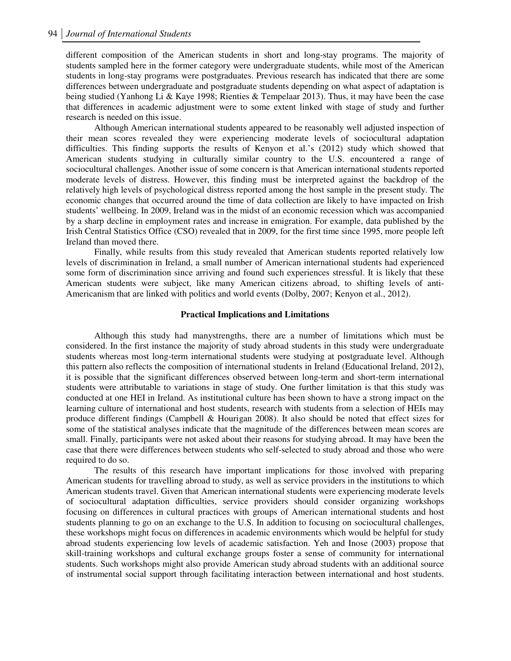different composition of the American students in short and long-stay programs. The majority of students sampled here in the former category were undergraduate students, while most of the American students in long-stay programs were postgraduates. Previous research has indicated that there are some differences between undergraduate and postgraduate students depending on what aspect of adaptation is being studied (Yanhong Li & Kaye 1998; Rienties & Tempelaar 2013). Thus, it may have been the case that differences in academic adjustment were to some extent linked with stage of study and further research is needed on this issue.

Although American international students appeared to be reasonably well adjusted inspection of their mean scores revealed they were experiencing moderate levels of sociocultural adaptation difficulties. This finding supports the results of Kenyon et al.'s (2012) study which showed that American students studying in culturally similar country to the U.S. encountered a range of sociocultural challenges. Another issue of some concern is that American international students reported moderate levels of distress. However, this finding must be interpreted against the backdrop of the relatively high levels of psychological distress reported among the host sample in the present study. The economic changes that occurred around the time of data collection are likely to have impacted on Irish students' wellbeing. In 2009, Ireland was in the midst of an economic recession which was accompanied by a sharp decline in employment rates and increase in emigration. For example, data published by the Irish Central Statistics Office (CSO) revealed that in 2009, for the first time since 1995, more people left Ireland than moved there.

Finally, while results from this study revealed that American students reported relatively low levels of discrimination in Ireland, a small number of American international students had experienced some form of discrimination since arriving and found such experiences stressful. It is likely that these American students were subject, like many American citizens abroad, to shifting levels of anti-Americanism that are linked with politics and world events (Dolby, 2007; Kenyon et al., 2012).

#### **Practical Implications and Limitations**

Although this study had manystrengths, there are a number of limitations which must be considered. In the first instance the majority of study abroad students in this study were undergraduate students whereas most long-term international students were studying at postgraduate level. Although this pattern also reflects the composition of international students in Ireland (Educational Ireland, 2012), it is possible that the significant differences observed between long-term and short-term international students were attributable to variations in stage of study. One further limitation is that this study was conducted at one HEI in Ireland. As institutional culture has been shown to have a strong impact on the learning culture of international and host students, research with students from a selection of HEIs may produce different findings (Campbell & Hourigan 2008). It also should be noted that effect sizes for some of the statistical analyses indicate that the magnitude of the differences between mean scores are small. Finally, participants were not asked about their reasons for studying abroad. It may have been the case that there were differences between students who self-selected to study abroad and those who were required to do so.

The results of this research have important implications for those involved with preparing American students for travelling abroad to study, as well as service providers in the institutions to which American students travel. Given that American international students were experiencing moderate levels of sociocultural adaptation difficulties, service providers should consider organizing workshops focusing on differences in cultural practices with groups of American international students and host students planning to go on an exchange to the U.S. In addition to focusing on sociocultural challenges, these workshops might focus on differences in academic environments which would be helpful for study abroad students experiencing low levels of academic satisfaction. Yeh and Inose (2003) propose that skill-training workshops and cultural exchange groups foster a sense of community for international students. Such workshops might also provide American study abroad students with an additional source of instrumental social support through facilitating interaction between international and host students.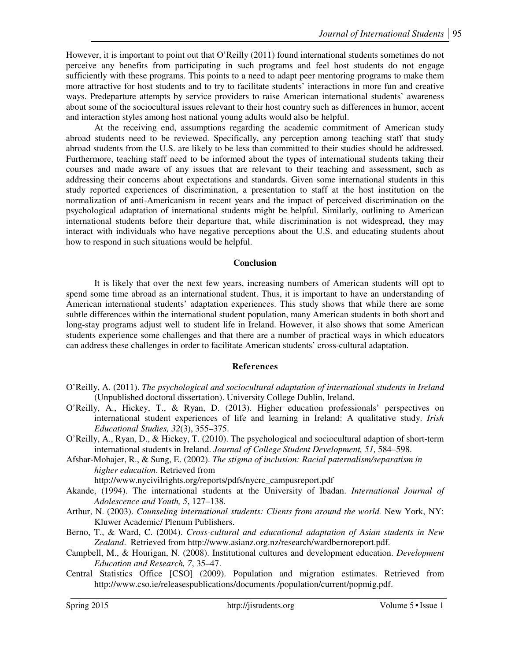However, it is important to point out that O'Reilly (2011) found international students sometimes do not perceive any benefits from participating in such programs and feel host students do not engage sufficiently with these programs. This points to a need to adapt peer mentoring programs to make them more attractive for host students and to try to facilitate students' interactions in more fun and creative ways. Predeparture attempts by service providers to raise American international students' awareness about some of the sociocultural issues relevant to their host country such as differences in humor, accent and interaction styles among host national young adults would also be helpful.

At the receiving end, assumptions regarding the academic commitment of American study abroad students need to be reviewed. Specifically, any perception among teaching staff that study abroad students from the U.S. are likely to be less than committed to their studies should be addressed. Furthermore, teaching staff need to be informed about the types of international students taking their courses and made aware of any issues that are relevant to their teaching and assessment, such as addressing their concerns about expectations and standards. Given some international students in this study reported experiences of discrimination, a presentation to staff at the host institution on the normalization of anti-Americanism in recent years and the impact of perceived discrimination on the psychological adaptation of international students might be helpful. Similarly, outlining to American international students before their departure that, while discrimination is not widespread, they may interact with individuals who have negative perceptions about the U.S. and educating students about how to respond in such situations would be helpful.

### **Conclusion**

It is likely that over the next few years, increasing numbers of American students will opt to spend some time abroad as an international student. Thus, it is important to have an understanding of American international students' adaptation experiences. This study shows that while there are some subtle differences within the international student population, many American students in both short and long-stay programs adjust well to student life in Ireland. However, it also shows that some American students experience some challenges and that there are a number of practical ways in which educators can address these challenges in order to facilitate American students' cross-cultural adaptation.

### **References**

- O'Reilly, A. (2011). *The psychological and sociocultural adaptation of international students in Ireland*  (Unpublished doctoral dissertation). University College Dublin, Ireland.
- O'Reilly, A., Hickey, T., & Ryan, D. (2013). Higher education professionals' perspectives on international student experiences of life and learning in Ireland: A qualitative study. *Irish Educational Studies, 32*(3), 355–375.
- O'Reilly, A., Ryan, D., & Hickey, T. (2010). The psychological and sociocultural adaption of short-term international students in Ireland. *Journal of College Student Development, 51,* 584–598.
- Afshar-Mohajer, R., & Sung, E. (2002). *The stigma of inclusion: Racial paternalism/separatism in higher education*. Retrieved from

http://www.nycivilrights.org/reports/pdfs/nycrc\_campusreport.pdf

- Akande, (1994). The international students at the University of Ibadan. *International Journal of Adolescence and Youth, 5*, 127–138.
- Arthur, N. (2003). *Counseling international students: Clients from around the world*. New York, NY: Kluwer Academic/ Plenum Publishers.
- Berno, T., & Ward, C. (2004). *Cross-cultural and educational adaptation of Asian students in New Zealand*. Retrieved from http://www.asianz.org.nz/research/wardbernoreport.pdf.
- Campbell, M., & Hourigan, N. (2008). Institutional cultures and development education. *Development Education and Research, 7*, 35–47.
- Central Statistics Office [CSO] (2009). Population and migration estimates. Retrieved from http://www.cso.ie/releasespublications/documents /population/current/popmig.pdf.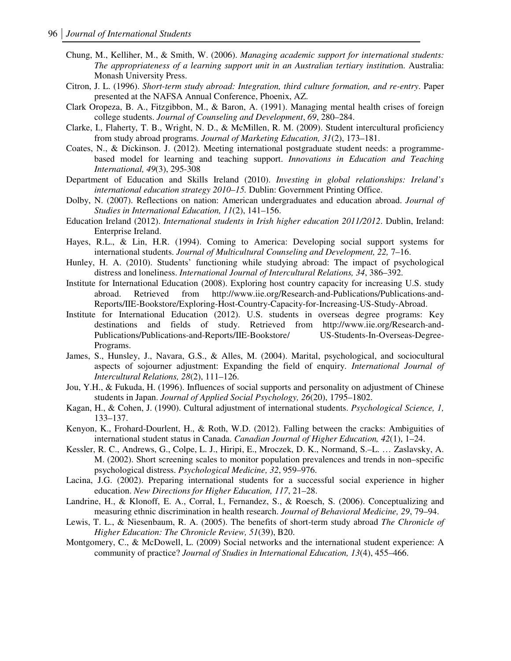- Chung, M., Kelliher, M., & Smith, W. (2006). *Managing academic support for international students: The appropriateness of a learning support unit in an Australian tertiary institutio*n. Australia: Monash University Press.
- Citron, J. L. (1996). *Short-term study abroad: Integration, third culture formation, and re-entry*. Paper presented at the NAFSA Annual Conference, Phoenix, AZ.
- Clark Oropeza, B. A., Fitzgibbon, M., & Baron, A. (1991). Managing mental health crises of foreign college students. *Journal of Counseling and Development*, *69*, 280–284.
- Clarke, I., Flaherty, T. B., Wright, N. D., & McMillen, R. M. (2009). Student intercultural proficiency from study abroad programs. *Journal of Marketing Education, 31*(2), 173–181.
- Coates, N., & Dickinson. J. (2012). Meeting international postgraduate student needs: a programmebased model for learning and teaching support. *Innovations in Education and Teaching International, 49*(3), 295-308
- Department of Education and Skills Ireland (2010). *Investing in global relationships: Ireland's international education strategy 2010*–*15.* Dublin: Government Printing Office.
- Dolby, N. (2007). Reflections on nation: American undergraduates and education abroad. *Journal of Studies in International Education, 11*(2), 141–156.
- Education Ireland (2012). *International students in Irish higher education 2011/2012*. Dublin, Ireland: Enterprise Ireland.
- Hayes, R.L., & Lin, H.R. (1994). Coming to America: Developing social support systems for international students. *Journal of Multicultural Counseling and Development, 22, 7–16.*
- Hunley, H. A. (2010). Students' functioning while studying abroad: The impact of psychological distress and loneliness. *International Journal of Intercultural Relations, 34*, 386–392.
- Institute for International Education (2008). Exploring host country capacity for increasing U.S. study abroad. Retrieved from http://www.iie.org/Research-and-Publications/Publications-and-Reports/IIE-Bookstore/Exploring-Host-Country-Capacity-for-Increasing-US-Study-Abroad.
- Institute for International Education (2012). U.S. students in overseas degree programs: Key destinations and fields of study. Retrieved from http://www.iie.org/Research-and-Publications/Publications-and-Reports/IIE-Bookstore/ US-Students-In-Overseas-Degree-Programs.
- James, S., Hunsley, J., Navara, G.S., & Alles, M. (2004). Marital, psychological, and sociocultural aspects of sojourner adjustment: Expanding the field of enquiry. *International Journal of Intercultural Relations, 28*(2), 111–126.
- Jou, Y.H., & Fukuda, H. (1996). Influences of social supports and personality on adjustment of Chinese students in Japan. *Journal of Applied Social Psychology, 26*(20), 1795–1802.
- Kagan, H., & Cohen, J. (1990). Cultural adjustment of international students. *Psychological Science, 1,*  133–137.
- Kenyon, K., Frohard-Dourlent, H., & Roth, W.D. (2012). Falling between the cracks: Ambiguities of international student status in Canada. *Canadian Journal of Higher Education, 42*(1), 1–24.
- Kessler, R. C., Andrews, G., Colpe, L. J., Hiripi, E., Mroczek, D. K., Normand, S.–L. … Zaslavsky, A. M. (2002). Short screening scales to monitor population prevalences and trends in non–specific psychological distress. *Psychological Medicine, 32*, 959–976.
- Lacina, J.G. (2002). Preparing international students for a successful social experience in higher education. *New Directions for Higher Education, 117*, 21–28.
- Landrine, H., & Klonoff, E. A., Corral, I., Fernandez, S., & Roesch, S. (2006). Conceptualizing and measuring ethnic discrimination in health research. *Journal of Behavioral Medicine, 29*, 79–94.
- Lewis, T. L., & Niesenbaum, R. A. (2005). The benefits of short-term study abroad *The Chronicle of Higher Education: The Chronicle Review, 51*(39), B20.
- Montgomery, C., & McDowell, L. (2009) Social networks and the international student experience: A community of practice? *Journal of Studies in International Education, 13*(4), 455–466.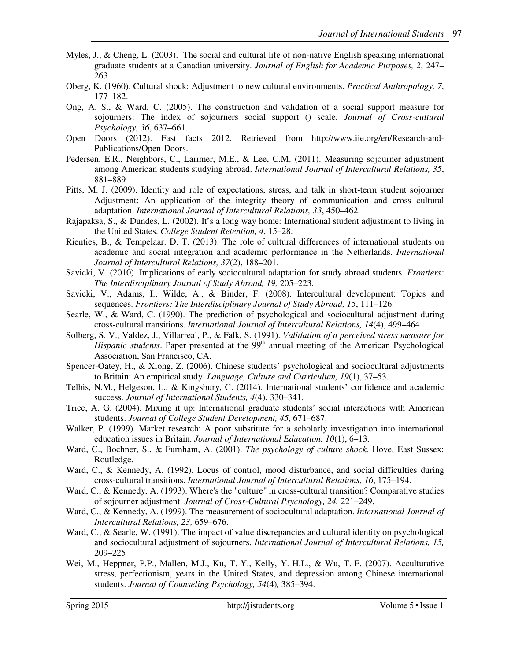- Myles, J., & Cheng, L. (2003). The social and cultural life of non-native English speaking international graduate students at a Canadian university. *Journal of English for Academic Purposes, 2*, 247– 263.
- Oberg, K. (1960). Cultural shock: Adjustment to new cultural environments. *Practical Anthropology, 7*, 177–182.
- Ong, A. S., & Ward, C. (2005). The construction and validation of a social support measure for sojourners: The index of sojourners social support () scale. *Journal of Cross-cultural Psychology, 36*, 637–661.
- Open Doors (2012). Fast facts 2012. Retrieved from http://www.iie.org/en/Research-and-Publications/Open-Doors.
- Pedersen, E.R., Neighbors, C., Larimer, M.E., & Lee, C.M. (2011). Measuring sojourner adjustment among American students studying abroad. *International Journal of Intercultural Relations, 35*, 881–889.
- Pitts, M. J. (2009). Identity and role of expectations, stress, and talk in short-term student sojourner Adjustment: An application of the integrity theory of communication and cross cultural adaptation. *International Journal of Intercultural Relations, 33*, 450–462.
- Rajapaksa, S., & Dundes, L. (2002). It's a long way home: International student adjustment to living in the United States. *College Student Retention, 4*, 15–28.
- Rienties, B., & Tempelaar. D. T. (2013). The role of cultural differences of international students on academic and social integration and academic performance in the Netherlands. *International Journal of Intercultural Relations, 37*(2), 188–201.
- Savicki, V. (2010). Implications of early sociocultural adaptation for study abroad students. *Frontiers: The Interdisciplinary Journal of Study Abroad, 19,* 205–223.
- Savicki, V., Adams, I., Wilde, A., & Binder, F. (2008). Intercultural development: Topics and sequences. *Frontiers: The Interdisciplinary Journal of Study Abroad, 15*, 111–126.
- Searle, W., & Ward, C. (1990). The prediction of psychological and sociocultural adjustment during cross-cultural transitions. *International Journal of Intercultural Relations, 14*(4), 499*–*464.
- Solberg, S. V., Valdez, J., Villarreal, P., & Falk, S. (1991). *Validation of a perceived stress measure for Hispanic students*. Paper presented at the 99<sup>th</sup> annual meeting of the American Psychological Association, San Francisco, CA.
- Spencer-Oatey, H., & Xiong, Z. (2006). Chinese students' psychological and sociocultural adjustments to Britain: An empirical study. *Language, Culture and Curriculum, 19*(1), 37–53.
- Telbis, N.M., Helgeson, L., & Kingsbury, C. (2014). International students' confidence and academic success. *Journal of International Students, 4*(4), 330–341.
- Trice, A. G. (2004). Mixing it up: International graduate students' social interactions with American students. *Journal of College Student Development, 45*, 671–687.
- Walker, P. (1999). Market research: A poor substitute for a scholarly investigation into international education issues in Britain. *Journal of International Education, 10*(1), 6–13.
- Ward, C., Bochner, S., & Furnham, A. (2001). *The psychology of culture shock.* Hove, East Sussex: Routledge.
- Ward, C., & Kennedy, A. (1992). Locus of control, mood disturbance, and social difficulties during cross-cultural transitions. *International Journal of Intercultural Relations, 16*, 175–194.
- Ward, C., & Kennedy, A. (1993). Where's the "culture" in cross-cultural transition? Comparative studies of sojourner adjustment. *Journal of Cross-Cultural Psychology, 24,* 221–249.
- Ward, C., & Kennedy, A. (1999). The measurement of sociocultural adaptation. *International Journal of Intercultural Relations, 23,* 659–676.
- Ward, C., & Searle, W. (1991). The impact of value discrepancies and cultural identity on psychological and sociocultural adjustment of sojourners. *International Journal of Intercultural Relations, 15,*  209–225
- Wei, M., Heppner, P.P., Mallen, M.J., Ku, T.-Y., Kelly, Y.-H.L., & Wu, T.-F. (2007). Acculturative stress, perfectionism, years in the United States, and depression among Chinese international students. *Journal of Counseling Psychology, 54*(4)*,* 385–394.